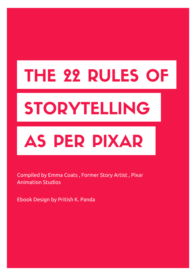# THE 22 RULES OF

# STORYTELLING

## AS PER PIXAR

#### Compiled by Emma Coats , Former Story Artist , Pixar Animation Studios

Ebook Design by Pritish K. Panda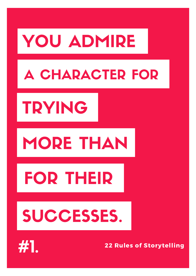# YOU ADMIRE

### A CHARACTER FOR

# TRYING

## MORE THAN

# FOR THEIR

## SUCCESSES.

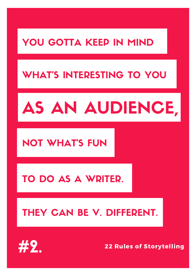### YOU GOTTA KEEP IN MIND

### WHAT'S INTERESTING TO YOU

#### 22 Rules of Storytelling

# AS AN AUDIENCE,

#### NOT WHAT'S FUN

#### TO DO AS A WRITER.

### THEY CAN BE V. DIFFERENT.

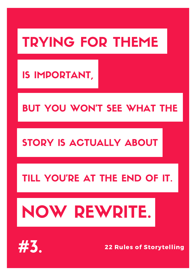### TRYING FOR THEME

#### 22 Rules of Storytelling

#### IS IMPORTANT,

### BUT YOU WON'T SEE WHAT THE

#### STORY IS ACTUALLY ABOUT

#### TILL YOU'RE AT THE END OF IT.

# NOW REWRITE.

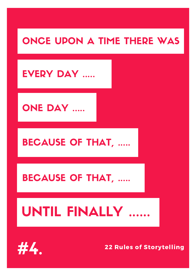### ONCE UPON A TIME THERE WAS

#### EVERY DAY ......

#### ONE DAY .....

#### BECAUSE OF THAT,

#### BECAUSE OF THAT, .....

## UNTIL FINALLY ......

#### 22 Rules of Storytelling

.



 $\overline{\phantom{a}}$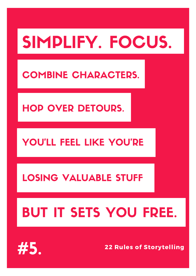# SIMPLIFY. FOCUS.

#### COMBINE CHARACTERS.

### HOP OVER DETOURS.

#### YOU'LL FEEL LIKE YOU'RE

#### LOSING VALUABLE STUFF

### BUT IT SETS YOU FREE.

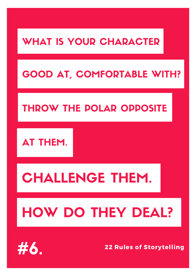### WHAT IS YOUR CHARACTER

#### 22 Rules of Storytelling

### GOOD AT, COMFORTABLE WITH?

### THROW THE POLAR OPPOSITE



## CHALLENGE THEM.

## HOW DO THEY DEAL?

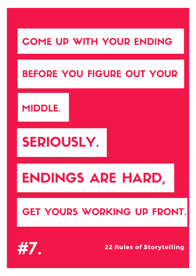### COME UP WITH YOUR ENDING

#### 22 Rules of Storytelling

### BEFORE YOU FIGURE OUT YOUR

#### MIDDLE.

### SERIOUSLY.

### ENDINGS ARE HARD,

#### GET YOURS WORKING UP FRONT.

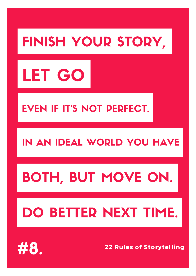## FINISH YOUR STORY,

#### 22 Rules of Storytelling



### EVEN IF IT'S NOT PERFECT.

#### IN AN IDEAL WORLD YOU HAVE

## BOTH, BUT MOVE ON.

### DO BETTER NEXT TIME.

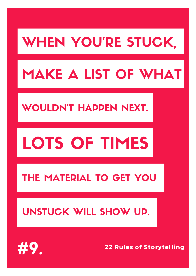## WHEN YOU'RE STUCK,

#### 22 Rules of Storytelling

### MAKE A LIST OF WHAT

### WOULDN'T HAPPEN NEXT.

### TS OF TIMES



#### THE MATERIAL TO GET YOU

#### UNSTUCK WILL SHOW UP.

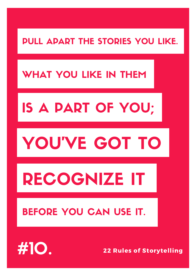#### PULL APART THE STORIES YOU LIKE.

#### 22 Rules of Storytelling

### WHAT YOU LIKE IN THEM

## IS A PART OF YOU;

## U'VE GOT

# RECOGNIZE IT

#### BEFORE YOU CAN USE IT.

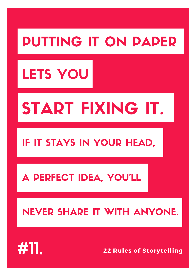## PUTTING IT ON PAPER

22 Rules of Storytelling

## LETS YOU

# START FIXING IT.

#### IF IT STAYS IN YOUR HEAD,

#### A PERFECT IDEA, YOU'LL

#### NEVER SHARE IT WITH ANYONE.

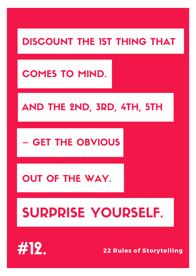### DISCOUNT THE 1ST THING THAT

22 Rules of Storytelling

#### COMES TO MIND.

#### AND THE 2ND, 3RD, 4TH, 5TH

#### – GET THE OBVIOUS

#### OUT OF THE WAY.

## SURPRISE YOURSELF.

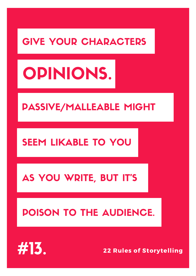#### GIVE YOUR CHARACTERS

#### 22 Rules of Storytelling

# OPINIONS.

#### PASSIVE/MALLEABLE MIGHT

#### SEEM LIKABLE TO YOU

#### AS YOU WRITE, BUT IT'S

### POISON TO THE AUDIENCE.

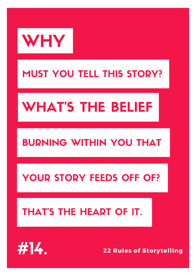

#### MUST YOU TELL THIS STORY?

### WHAT'S THE BELIEF

#### BURNING WITHIN YOU THAT

#### YOUR STORY FEEDS OFF OF?

#### THAT'S THE HEART OF IT.

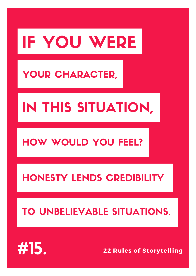# IF YOU WERE

22 Rules of Storytelling

### YOUR CHARACTER,

## IN THIS SITUATION,

#### HOW WOULD YOU FEEL?

#### HONESTY LENDS CREDIBILITY

#### TO UNBELIEVABLE SITUATIONS.

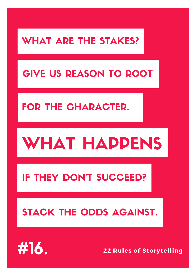### WHAT ARE THE STAKES?

### GIVE US REASON TO ROOT

#### FOR THE CHARACTER.

## WHAT HAPPENS

#### IF THEY DON'T SUCCEED?

#### STACK THE ODDS AGAINST.

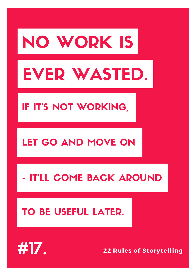# NO WORK IS

22 Rules of Storytelling

# EVER WASTED.

IF IT'S NOT WORKING,

#### LEO AND MOVE ON

#### - IT'LL COME BACK AROUND

#### TO BE USEFUL LATER.

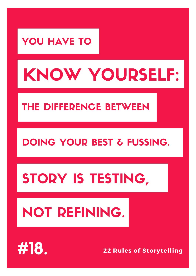### YOU HAVE TO

#### 22 Rules of Storytelling

# KNOW YOURSELF:

#### THE DIFFERENCE BETWEEN

#### DOING YOUR BEST & FUSSING.

### STORY IS TESTING,

### NOT REFINING.

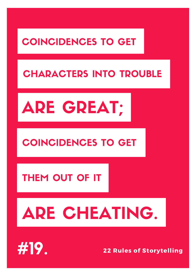#### COINCIDENCES TO GET

#### 22 Rules of Storytelling

#### CHARACTERS INTO TROUBLE

# ARE GREAT;

#### COINCIDENCES TO GET

#### THEM OUT OF IT

# ARE CHEATING.

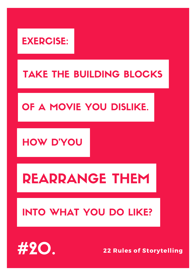#### EXERCISE:

22 Rules of Storytelling

### TAKE THE BUILDING BLOCKS

#### OF A MOVIE YOU DISLIKE.

#### HOW D'YOU

### REARRANGE THEM

### INTO WHAT YOU DO LIKE?

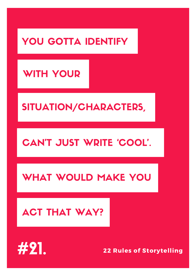### YOU GOTTA IDENTIFY

#### WITH YOUR

#### SITUATION/CHARACTERS,

#### CAN'T JUST WRITE 'COOL'.

#### WHAT WOULD MAKE YOU

#### ACT THAT WAY?

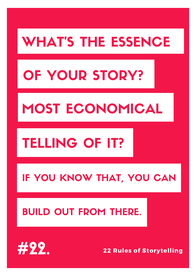### WHAT'S THE ESSENCE

## OF YOUR STORY?

22 Rules of Storytelling

### MOST ECONOMICAL

### TELLING OF IT?

#### IF YOU KNOW THAT, YOU CAN

#### BUILD OUT FROM THERE.